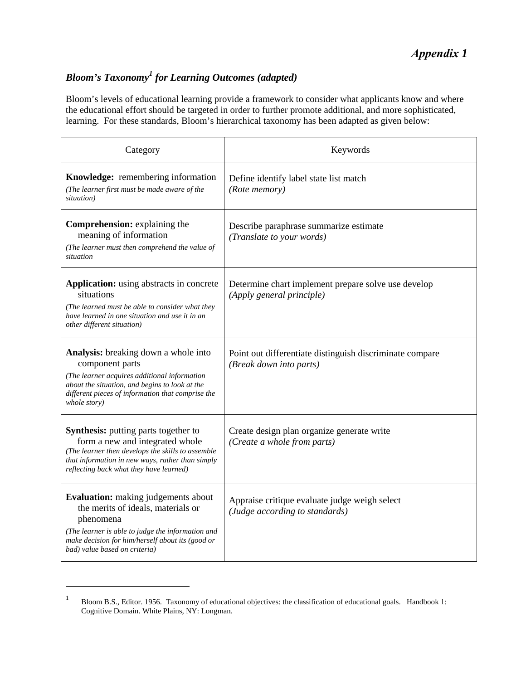# *Appendix 1*

## *Bloom's Taxonomy<sup>1</sup> for Learning Outcomes (adapted)*

Bloom's levels of educational learning provide a framework to consider what applicants know and where the educational effort should be targeted in order to further promote additional, and more sophisticated, learning. For these standards, Bloom's hierarchical taxonomy has been adapted as given below:

| Category                                                                                                                                                                                                                                | Keywords                                                                            |  |  |
|-----------------------------------------------------------------------------------------------------------------------------------------------------------------------------------------------------------------------------------------|-------------------------------------------------------------------------------------|--|--|
| Knowledge: remembering information<br>(The learner first must be made aware of the<br>situation)                                                                                                                                        | Define identify label state list match<br>(Rote memory)                             |  |  |
| Comprehension: explaining the<br>meaning of information<br>(The learner must then comprehend the value of<br>situation                                                                                                                  | Describe paraphrase summarize estimate<br>(Translate to your words)                 |  |  |
| <b>Application:</b> using abstracts in concrete<br>situations<br>(The learned must be able to consider what they<br>have learned in one situation and use it in an<br>other different situation)                                        | Determine chart implement prepare solve use develop<br>(Apply general principle)    |  |  |
| <b>Analysis:</b> breaking down a whole into<br>component parts<br>(The learner acquires additional information)<br>about the situation, and begins to look at the<br>different pieces of information that comprise the<br>whole story)  | Point out differentiate distinguish discriminate compare<br>(Break down into parts) |  |  |
| Synthesis: putting parts together to<br>form a new and integrated whole<br>(The learner then develops the skills to assemble)<br>that information in new ways, rather than simply<br>reflecting back what they have learned)            | Create design plan organize generate write<br>(Create a whole from parts)           |  |  |
| <b>Evaluation:</b> making judgements about<br>the merits of ideals, materials or<br>phenomena<br>(The learner is able to judge the information and<br>make decision for him/herself about its (good or<br>bad) value based on criteria) | Appraise critique evaluate judge weigh select<br>(Judge according to standards)     |  |  |

<sup>&</sup>lt;sup>1</sup> Bloom B.S., Editor. 1956. Taxonomy of educational objectives: the classification of educational goals. Handbook 1: Cognitive Domain. White Plains, NY: Longman.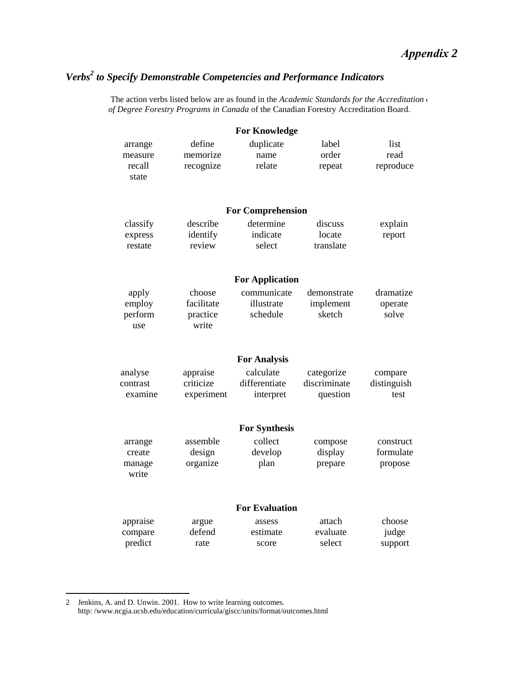### *Verbs<sup>2</sup> to Specify Demonstrable Competencies and Performance Indicators*

The action verbs listed below are as found in the *Academic Standards for the Accreditation of Degree Forestry Programs in Canada* of the Canadian Forestry Accreditation Board.

|                                       |                                           | <b>For Knowledge</b>                    |                                        |                                   |
|---------------------------------------|-------------------------------------------|-----------------------------------------|----------------------------------------|-----------------------------------|
| arrange<br>measure<br>recall<br>state | define<br>memorize<br>recognize           | duplicate<br>name<br>relate             | label<br>order<br>repeat               | list<br>read<br>reproduce         |
|                                       |                                           | <b>For Comprehension</b>                |                                        |                                   |
| classify<br>express<br>restate        | describe<br>identify<br>review            | determine<br>indicate<br>select         | discuss<br>locate<br>translate         | explain<br>report                 |
|                                       |                                           | <b>For Application</b>                  |                                        |                                   |
| apply<br>employ<br>perform<br>use     | choose<br>facilitate<br>practice<br>write | communicate<br>illustrate<br>schedule   | demonstrate<br>implement<br>sketch     | dramatize<br>operate<br>solve     |
|                                       |                                           | <b>For Analysis</b>                     |                                        |                                   |
| analyse<br>contrast<br>examine        | appraise<br>criticize<br>experiment       | calculate<br>differentiate<br>interpret | categorize<br>discriminate<br>question | compare<br>distinguish<br>test    |
|                                       |                                           | <b>For Synthesis</b>                    |                                        |                                   |
| arrange<br>create<br>manage<br>write  | assemble<br>design<br>organize            | collect<br>develop<br>plan              | compose<br>display<br>prepare          | construct<br>formulate<br>propose |
|                                       |                                           | <b>For Evaluation</b>                   |                                        |                                   |
| appraise<br>compare<br>predict        | argue<br>defend<br>rate                   | assess<br>estimate<br>score             | attach<br>evaluate<br>select           | choose<br>judge<br>support        |

<sup>2</sup> Jenkins, A. and D. Unwin. 2001. How to write learning outcomes. http: /www.ncgia.ucsb.edu/education/curricula/giscc/units/format/outcomes.html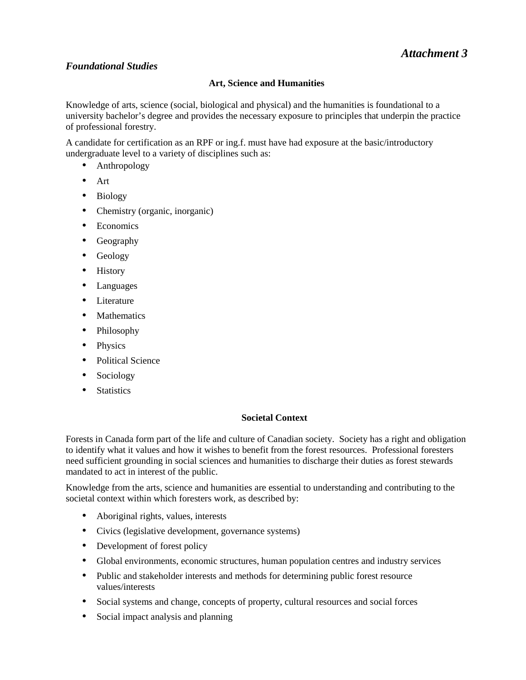#### *Foundational Studies*

#### **Art, Science and Humanities**

Knowledge of arts, science (social, biological and physical) and the humanities is foundational to a university bachelor's degree and provides the necessary exposure to principles that underpin the practice of professional forestry.

A candidate for certification as an RPF or ing.f. must have had exposure at the basic/introductory undergraduate level to a variety of disciplines such as:

- Anthropology
- Art
- Biology
- Chemistry (organic, inorganic)
- Economics
- Geography
- Geology
- History
- Languages
- Literature
- Mathematics
- Philosophy
- Physics
- Political Science
- Sociology
- Statistics

#### **Societal Context**

Forests in Canada form part of the life and culture of Canadian society. Society has a right and obligation to identify what it values and how it wishes to benefit from the forest resources. Professional foresters need sufficient grounding in social sciences and humanities to discharge their duties as forest stewards mandated to act in interest of the public.

Knowledge from the arts, science and humanities are essential to understanding and contributing to the societal context within which foresters work, as described by:

- Aboriginal rights, values, interests
- Civics (legislative development, governance systems)
- Development of forest policy
- Global environments, economic structures, human population centres and industry services
- Public and stakeholder interests and methods for determining public forest resource values/interests
- Social systems and change, concepts of property, cultural resources and social forces
- [Social impact analysis and planning](www.ncgia.ucsb.edu/education/curricula/giscc/units/format/outcomes.html)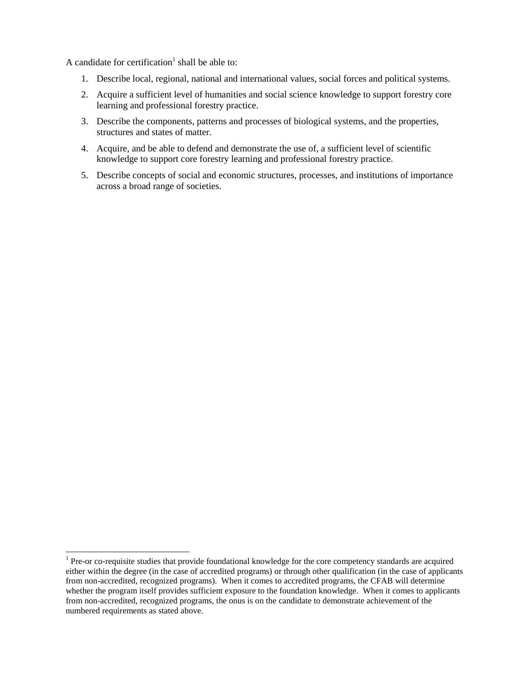A candidate for certification<sup>1</sup> shall be able to:

- 1. Describe local, regional, national and international values, social forces and political systems.
- 2. Acquire a sufficient level of humanities and social science knowledge to support forestry core learning and professional forestry practice.
- 3. Describe the components, patterns and processes of biological systems, and the properties, structures and states of matter.
- 4. Acquire, and be able to defend and demonstrate the use of, a sufficient level of scientific knowledge to support core forestry learning and professional forestry practice.
- 5. Describe concepts of social and economic structures, processes, and institutions of importance across a broad range of societies.

 $<sup>1</sup>$  Pre-or co-requisite studies that provide foundational knowledge for the core competency standards are acquired</sup> either within the degree (in the case of accredited programs) or through other qualification (in the case of applicants from non-accredited, recognized programs). When it comes to accredited programs, the CFAB will determine whether the program itself provides sufficient exposure to the foundation knowledge. When it comes to applicants from non-accredited, recognized programs, the onus is on the candidate to demonstrate achievement of the numbered requirements as stated above.